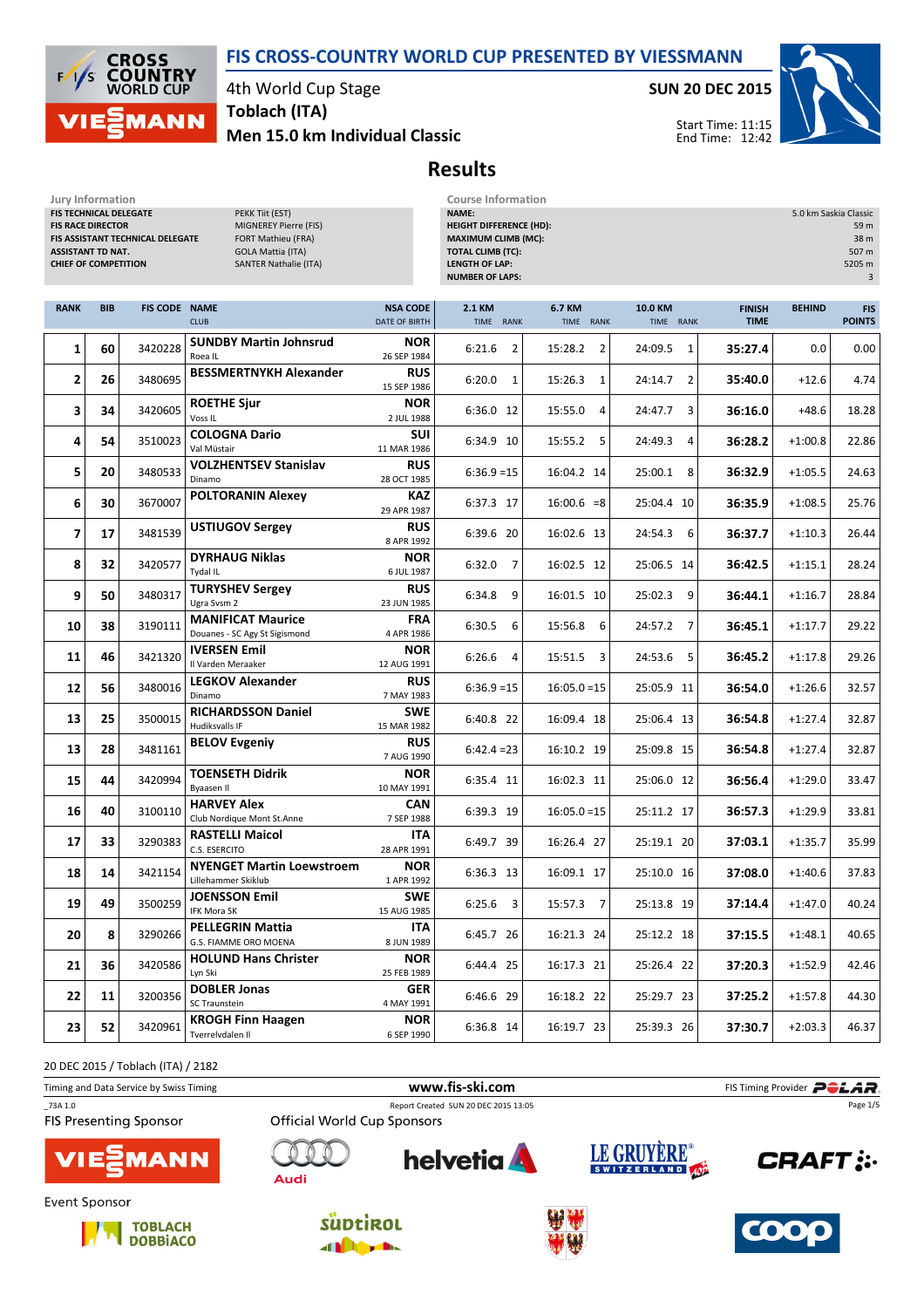

Results



4th World Cup Stage

Men 15.0 km Individual Classic Toblach (ITA)

SUN 20 DEC 2015



Start Time: 11:15 End Time: 12:42



Jury Information Course Information<br>
FIS TECHNICAL DELEGATE 
FISITE PEKK TIIt (EST) 
FISITE CHNICAL DELEGATE FIS TECHNICAL DELEGATE FIS RACE DIRECTOR MIGNEREY Pierre (FIS) FIS ASSISTANT TECHNICAL DELEGATE FORT Mathieu (FRA) ASSISTANT TD NAT. GOLA Mattia (ITA) CHIEF OF COMPETITION SANTER Nathalie (ITA)

| <b>NAME:</b>                   | 5.0 km Saskia Classic |
|--------------------------------|-----------------------|
| <b>HEIGHT DIFFERENCE (HD):</b> | 59 m                  |
| <b>MAXIMUM CLIMB (MC):</b>     | 38 m                  |
| <b>TOTAL CLIMB (TC):</b>       | 507 m                 |
| <b>LENGTH OF LAP:</b>          | 5205 m                |
| <b>NUMBER OF LAPS:</b>         | 3                     |
|                                |                       |

| <b>RANK</b>    | <b>BIB</b> | <b>FIS CODE NAME</b> | <b>CLUB</b>                                               | <b>NSA CODE</b><br>DATE OF BIRTH | 2.1 KM<br>TIME RANK      | 6.7 KM<br>TIME RANK       | 10.0 KM<br>TIME RANK      | <b>FINISH</b><br><b>TIME</b> | <b>BEHIND</b> | <b>FIS</b><br><b>POINTS</b> |
|----------------|------------|----------------------|-----------------------------------------------------------|----------------------------------|--------------------------|---------------------------|---------------------------|------------------------------|---------------|-----------------------------|
| 1              | 60         | 3420228              | <b>SUNDBY Martin Johnsrud</b><br>Roea IL                  | <b>NOR</b><br>26 SEP 1984        | 6:21.6<br>$\overline{2}$ | 15:28.2<br>$\overline{2}$ | 24:09.5<br>$\mathbf{1}$   | 35:27.4                      | 0.0           | 0.00                        |
| 2              | 26         | 3480695              | <b>BESSMERTNYKH Alexander</b>                             | <b>RUS</b><br>15 SEP 1986        | 6:20.0<br>$\mathbf{1}$   | 15:26.3<br>$\mathbf{1}$   | $\overline{2}$<br>24:14.7 | 35:40.0                      | $+12.6$       | 4.74                        |
| 3              | 34         | 3420605              | <b>ROETHE Sjur</b><br>Voss <sub>IL</sub>                  | <b>NOR</b><br>2 JUL 1988         | 6:36.0 12                | 15:55.0<br>$\overline{4}$ | 24:47.7<br>3              | 36:16.0                      | $+48.6$       | 18.28                       |
| 4              | 54         | 3510023              | <b>COLOGNA Dario</b><br>Val Müstair                       | <b>SUI</b><br>11 MAR 1986        | 6:34.9 10                | 15:55.2<br>5              | 24:49.3<br>$\overline{4}$ | 36:28.2                      | $+1:00.8$     | 22.86                       |
| 5              | 20         | 3480533              | <b>VOLZHENTSEV Stanislav</b><br>Dinamo                    | <b>RUS</b><br>28 OCT 1985        | $6:36.9=15$              | 16:04.2 14                | 25:00.1<br>8              | 36:32.9                      | $+1:05.5$     | 24.63                       |
| 6              | 30         | 3670007              | <b>POLTORANIN Alexey</b>                                  | <b>KAZ</b><br>29 APR 1987        | 6:37.3 17                | $16:00.6 = 8$             | 25:04.4 10                | 36:35.9                      | $+1:08.5$     | 25.76                       |
| $\overline{7}$ | 17         | 3481539              | <b>USTIUGOV Sergey</b>                                    | <b>RUS</b><br>8 APR 1992         | 6:39.6 20                | 16:02.6 13                | 24:54.3 6                 | 36:37.7                      | $+1:10.3$     | 26.44                       |
| 8              | 32         | 3420577              | <b>DYRHAUG Niklas</b><br>Tydal IL                         | <b>NOR</b><br>6 JUL 1987         | $\overline{7}$<br>6:32.0 | 16:02.5 12                | 25:06.5 14                | 36:42.5                      | $+1:15.1$     | 28.24                       |
| 9              | 50         | 3480317              | <b>TURYSHEV Sergey</b><br>Ugra Svsm 2                     | <b>RUS</b><br>23 JUN 1985        | 6:34.8<br>9              | 16:01.5 10                | 25:02.3<br>9              | 36:44.1                      | $+1:16.7$     | 28.84                       |
| 10             | 38         | 3190111              | <b>MANIFICAT Maurice</b><br>Douanes - SC Agy St Sigismond | <b>FRA</b><br>4 APR 1986         | 6:30.5<br>6              | 15:56.8 6                 | 24:57.2 7                 | 36:45.1                      | $+1:17.7$     | 29.22                       |
| 11             | 46         | 3421320              | <b>IVERSEN Emil</b><br>Il Varden Meraaker                 | <b>NOR</b><br>12 AUG 1991        | 6:26.6<br>4              | 15:51.5 3                 | 24:53.6<br>- 5            | 36:45.2                      | $+1:17.8$     | 29.26                       |
| 12             | 56         | 3480016              | <b>LEGKOV Alexander</b><br>Dinamo                         | <b>RUS</b><br>7 MAY 1983         | $6:36.9=15$              | $16:05.0 = 15$            | 25:05.9 11                | 36:54.0                      | $+1:26.6$     | 32.57                       |
| 13             | 25         | 3500015              | <b>RICHARDSSON Daniel</b><br>Hudiksvalls IF               | <b>SWE</b><br>15 MAR 1982        | 6:40.8 22                | 16:09.4 18                | 25:06.4 13                | 36:54.8                      | $+1:27.4$     | 32.87                       |
| 13             | 28         | 3481161              | <b>BELOV Evgeniy</b>                                      | <b>RUS</b><br>7 AUG 1990         | $6:42.4=23$              | 16:10.2 19                | 25:09.8 15                | 36:54.8                      | $+1:27.4$     | 32.87                       |
| 15             | 44         | 3420994              | <b>TOENSETH Didrik</b><br>Byaasen II                      | <b>NOR</b><br>10 MAY 1991        | 6:35.4 11                | 16:02.3 11                | 25:06.0 12                | 36:56.4                      | $+1:29.0$     | 33.47                       |
| 16             | 40         | 3100110              | <b>HARVEY Alex</b><br>Club Nordique Mont St.Anne          | <b>CAN</b><br>7 SEP 1988         | 6:39.3 19                | $16:05.0 = 15$            | 25:11.2 17                | 36:57.3                      | $+1:29.9$     | 33.81                       |
| 17             | 33         | 3290383              | <b>RASTELLI Maicol</b><br>C.S. ESERCITO                   | <b>ITA</b><br>28 APR 1991        | 6:49.7 39                | 16:26.4 27                | 25:19.1 20                | 37:03.1                      | $+1:35.7$     | 35.99                       |
| 18             | 14         | 3421154              | <b>NYENGET Martin Loewstroem</b><br>Lillehammer Skiklub   | <b>NOR</b><br>1 APR 1992         | 6:36.3 13                | 16:09.1 17                | 25:10.0 16                | 37:08.0                      | $+1:40.6$     | 37.83                       |
| 19             | 49         | 3500259              | <b>JOENSSON Emil</b><br>IFK Mora SK                       | <b>SWE</b><br>15 AUG 1985        | $6:25.6$ 3               | 15:57.3 7                 | 25:13.8 19                | 37:14.4                      | $+1:47.0$     | 40.24                       |
| 20             | 8          | 3290266              | <b>PELLEGRIN Mattia</b><br><b>G.S. FIAMME ORO MOENA</b>   | ITA<br>8 JUN 1989                | 6:45.7 26                | 16:21.3 24                | 25:12.2 18                | 37:15.5                      | $+1:48.1$     | 40.65                       |
| 21             | 36         | 3420586              | <b>HOLUND Hans Christer</b><br>Lyn Ski                    | <b>NOR</b><br>25 FEB 1989        | 6:44.4 25                | 16:17.3 21                | 25:26.4 22                | 37:20.3                      | $+1:52.9$     | 42.46                       |
| 22             | 11         | 3200356              | <b>DOBLER Jonas</b><br><b>SC Traunstein</b>               | <b>GER</b><br>4 MAY 1991         | 6:46.6 29                | 16:18.2 22                | 25:29.7 23                | 37:25.2                      | $+1:57.8$     | 44.30                       |
| 23             | 52         | 3420961              | <b>KROGH Finn Haagen</b><br>Tverrelvdalen II              | <b>NOR</b><br>6 SEP 1990         | 6:36.8 14                | 16:19.7 23                | 25:39.3 26                | 37:30.7                      | $+2:03.3$     | 46.37                       |

20 DEC 2015 / Toblach (ITA) / 2182

Timing and Data Service by Swiss Timing **Example 20** and Data Service by Swiss Timing Provider **PCLAR** \_73A 1.0 Report Created SUN 20 DEC 2015 13:05 Page 1/5**FIS Presenting Sponsor Official World Cup Sponsors** LE GRUYÈRE® **helvetia CRAFT: :** MANN







**Audi** 





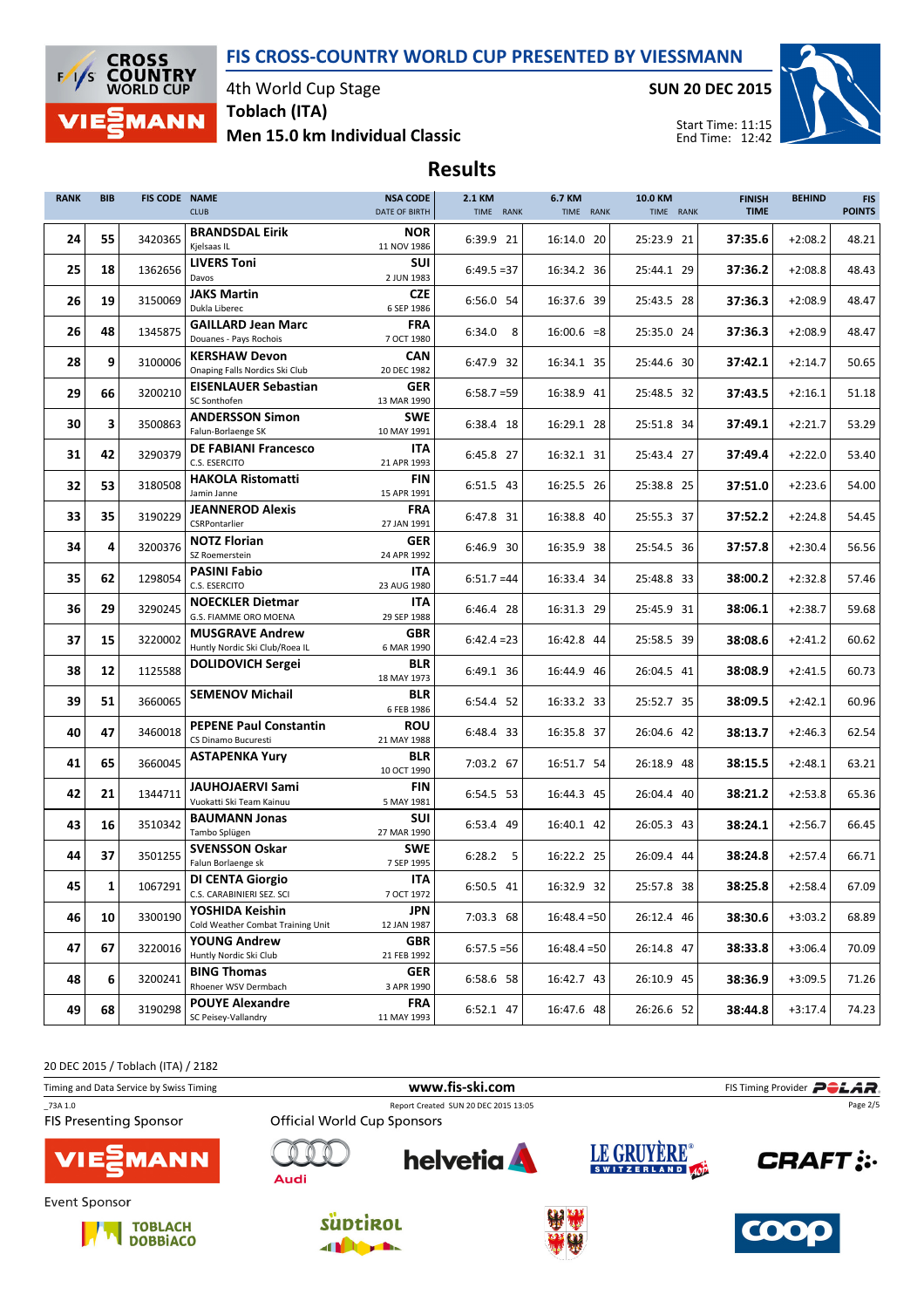

4th World Cup Stage Toblach (ITA)

Men 15.0 km Individual Classic

SUN 20 DEC 2015



Start Time: 11:15 End Time: 12:42

# Results

| <b>RANK</b> | <b>BIB</b> | <b>FIS CODE NAME</b> | <b>CLUB</b>                                              | <b>NSA CODE</b><br>DATE OF BIRTH | 2.1 KM<br>TIME RANK | 6.7 KM<br>TIME RANK | 10.0 KM<br>TIME RANK | <b>FINISH</b><br><b>TIME</b> | <b>BEHIND</b> | <b>FIS</b><br><b>POINTS</b> |
|-------------|------------|----------------------|----------------------------------------------------------|----------------------------------|---------------------|---------------------|----------------------|------------------------------|---------------|-----------------------------|
| 24          | 55         | 3420365              | <b>BRANDSDAL Eirik</b><br>Kjelsaas IL                    | <b>NOR</b><br>11 NOV 1986        | 6:39.9 21           | 16:14.0 20          | 25:23.9 21           | 37:35.6                      | $+2:08.2$     | 48.21                       |
| 25          | 18         | 1362656              | <b>LIVERS Toni</b><br>Davos                              | <b>SUI</b><br>2 JUN 1983         | $6:49.5=37$         | 16:34.2 36          | 25:44.1 29           | 37:36.2                      | $+2:08.8$     | 48.43                       |
| 26          | 19         | 3150069              | <b>JAKS Martin</b><br>Dukla Liberec                      | <b>CZE</b><br>6 SEP 1986         | 6:56.0 54           | 16:37.6 39          | 25:43.5 28           | 37:36.3                      | $+2:08.9$     | 48.47                       |
| 26          | 48         | 1345875              | <b>GAILLARD Jean Marc</b><br>Douanes - Pays Rochois      | <b>FRA</b><br>7 OCT 1980         | $6:34.0$ 8          | $16:00.6 = 8$       | 25:35.0 24           | 37:36.3                      | $+2:08.9$     | 48.47                       |
| 28          | 9          | 3100006              | <b>KERSHAW Devon</b><br>Onaping Falls Nordics Ski Club   | <b>CAN</b><br>20 DEC 1982        | 6:47.9 32           | 16:34.1 35          | 25:44.6 30           | 37:42.1                      | $+2:14.7$     | 50.65                       |
| 29          | 66         | 3200210              | <b>EISENLAUER Sebastian</b><br>SC Sonthofen              | <b>GER</b><br>13 MAR 1990        | $6:58.7=59$         | 16:38.9 41          | 25:48.5 32           | 37:43.5                      | $+2:16.1$     | 51.18                       |
| 30          | 3          | 3500863              | <b>ANDERSSON Simon</b><br>Falun-Borlaenge SK             | <b>SWE</b><br>10 MAY 1991        | 6:38.4 18           | 16:29.1 28          | 25:51.8 34           | 37:49.1                      | $+2:21.7$     | 53.29                       |
| 31          | 42         | 3290379              | <b>DE FABIANI Francesco</b><br>C.S. ESERCITO             | <b>ITA</b><br>21 APR 1993        | 6:45.8 27           | 16:32.1 31          | 25:43.4 27           | 37:49.4                      | $+2:22.0$     | 53.40                       |
| 32          | 53         | 3180508              | <b>HAKOLA Ristomatti</b><br>Jamin Janne                  | <b>FIN</b><br>15 APR 1991        | 6:51.5 43           | 16:25.5 26          | 25:38.8 25           | 37:51.0                      | $+2:23.6$     | 54.00                       |
| 33          | 35         | 3190229              | <b>JEANNEROD Alexis</b><br>CSRPontarlier                 | <b>FRA</b><br>27 JAN 1991        | 6:47.8 31           | 16:38.8 40          | 25:55.3 37           | 37:52.2                      | $+2:24.8$     | 54.45                       |
| 34          | 4          | 3200376              | <b>NOTZ Florian</b><br>SZ Roemerstein                    | GER<br>24 APR 1992               | 6:46.9 30           | 16:35.9 38          | 25:54.5 36           | 37:57.8                      | $+2:30.4$     | 56.56                       |
| 35          | 62         | 1298054              | <b>PASINI Fabio</b><br>C.S. ESERCITO                     | ITA<br>23 AUG 1980               | $6:51.7=44$         | 16:33.4 34          | 25:48.8 33           | 38:00.2                      | $+2:32.8$     | 57.46                       |
| 36          | 29         | 3290245              | <b>NOECKLER Dietmar</b><br>G.S. FIAMME ORO MOENA         | <b>ITA</b><br>29 SEP 1988        | 6:46.4 28           | 16:31.3 29          | 25:45.9 31           | 38:06.1                      | $+2:38.7$     | 59.68                       |
| 37          | 15         | 3220002              | <b>MUSGRAVE Andrew</b><br>Huntly Nordic Ski Club/Roea IL | GBR<br>6 MAR 1990                | $6:42.4 = 23$       | 16:42.8 44          | 25:58.5 39           | 38:08.6                      | $+2:41.2$     | 60.62                       |
| 38          | 12         | 1125588              | <b>DOLIDOVICH Sergei</b>                                 | <b>BLR</b><br>18 MAY 1973        | 6:49.1 36           | 16:44.9 46          | 26:04.5 41           | 38:08.9                      | $+2:41.5$     | 60.73                       |
| 39          | 51         | 3660065              | <b>SEMENOV Michail</b>                                   | <b>BLR</b><br>6 FEB 1986         | 6:54.4 52           | 16:33.2 33          | 25:52.7 35           | 38:09.5                      | $+2:42.1$     | 60.96                       |
| 40          | 47         | 3460018              | <b>PEPENE Paul Constantin</b><br>CS Dinamo Bucuresti     | <b>ROU</b><br>21 MAY 1988        | 6:48.4 33           | 16:35.8 37          | 26:04.6 42           | 38:13.7                      | $+2:46.3$     | 62.54                       |
| 41          | 65         | 3660045              | <b>ASTAPENKA Yury</b>                                    | <b>BLR</b><br>10 OCT 1990        | 7:03.2 67           | 16:51.7 54          | 26:18.9 48           | 38:15.5                      | $+2:48.1$     | 63.21                       |
| 42          | 21         | 1344711              | <b>JAUHOJAERVI Sami</b><br>Vuokatti Ski Team Kainuu      | <b>FIN</b><br>5 MAY 1981         | 6:54.5 53           | 16:44.3 45          | 26:04.4 40           | 38:21.2                      | $+2:53.8$     | 65.36                       |
| 43          | 16         | 3510342              | <b>BAUMANN Jonas</b><br>Tambo Splügen                    | SUI<br>27 MAR 1990               | 6:53.4 49           | 16:40.1 42          | 26:05.3 43           | 38:24.1                      | $+2:56.7$     | 66.45                       |
| 44          | 37         | 3501255              | <b>SVENSSON Oskar</b><br>Falun Borlaenge sk              | <b>SWE</b><br>7 SEP 1995         | $6:28.2$ 5          | 16:22.2 25          | 26:09.4 44           | 38:24.8                      | $+2:57.4$     | 66.71                       |
| 45          | 1          | 1067291              | <b>DI CENTA Giorgio</b><br>C.S. CARABINIERI SEZ. SCI     | <b>ITA</b><br>7 OCT 1972         | 6:50.5 41           | 16:32.9 32          | 25:57.8 38           | 38:25.8                      | $+2:58.4$     | 67.09                       |
| 46          | 10         | 3300190              | YOSHIDA Keishin<br>Cold Weather Combat Training Unit     | <b>JPN</b><br>12 JAN 1987        | 7:03.3 68           | $16:48.4 = 50$      | 26:12.4 46           | 38:30.6                      | $+3:03.2$     | 68.89                       |
| 47          | 67         | 3220016              | YOUNG Andrew<br>Huntly Nordic Ski Club                   | GBR<br>21 FEB 1992               | $6:57.5 = 56$       | $16:48.4 = 50$      | 26:14.8 47           | 38:33.8                      | $+3:06.4$     | 70.09                       |
| 48          | 6          | 3200241              | <b>BING Thomas</b><br>Rhoener WSV Dermbach               | GER<br>3 APR 1990                | 6:58.6 58           | 16:42.7 43          | 26:10.9 45           | 38:36.9                      | $+3:09.5$     | 71.26                       |
| 49          | 68         | 3190298              | <b>POUYE Alexandre</b><br>SC Peisey-Vallandry            | <b>FRA</b><br>11 MAY 1993        | 6:52.1 47           | 16:47.6 48          | 26:26.6 52           | 38:44.8                      | $+3:17.4$     | 74.23                       |

20 DEC 2015 / Toblach (ITA) / 2182

Timing and Data Service by Swiss Timing **WWW.fis-Ski.com WWW.fis-Ski.com** FIS Timing Provider PCLAR. \_73A 1.0 Report Created SUN 20 DEC 2015 13:05 Page 2/5**Official World Cup Sponsors FIS Presenting Sponsor** LE GRUYÈRE® **helvetia CRAFT:** 1ANN Audi Event Sponsor







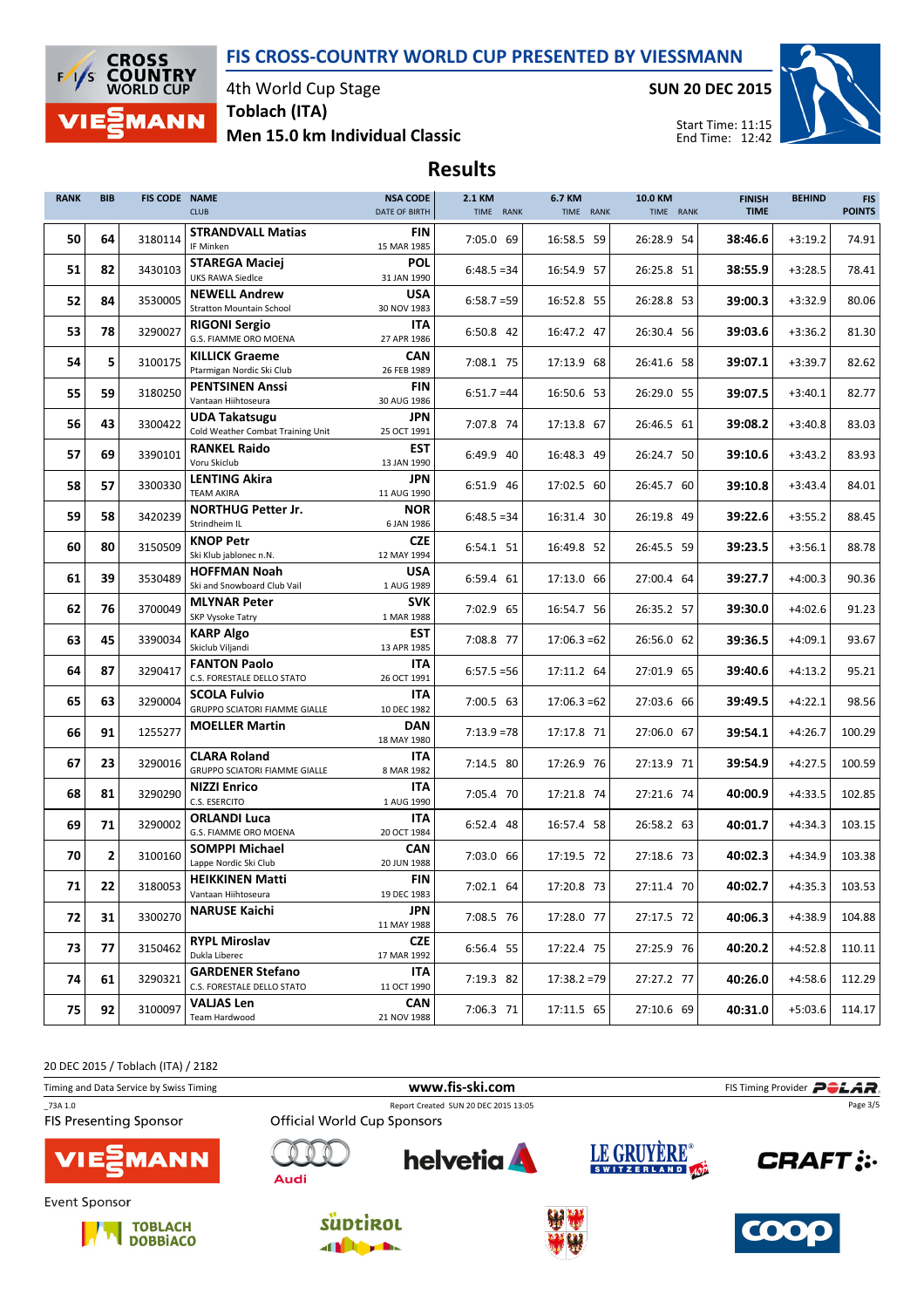

4th World Cup Stage Toblach (ITA)

Men 15.0 km Individual Classic

SUN 20 DEC 2015



Start Time: 11:15 End Time: 12:42

# Results

| <b>RANK</b> | <b>BIB</b>     | FIS CODE NAME | <b>CLUB</b>                                                 | <b>NSA CODE</b><br>DATE OF BIRTH | 2.1 KM<br>TIME RANK | 6.7 KM<br>TIME RANK | 10.0 KM<br>TIME RANK | <b>FINISH</b><br><b>TIME</b> | <b>BEHIND</b> | <b>FIS</b><br><b>POINTS</b> |
|-------------|----------------|---------------|-------------------------------------------------------------|----------------------------------|---------------------|---------------------|----------------------|------------------------------|---------------|-----------------------------|
| 50          | 64             | 3180114       | <b>STRANDVALL Matias</b><br>IF Minken                       | <b>FIN</b><br>15 MAR 1985        | 7:05.0 69           | 16:58.5 59          | 26:28.9 54           | 38:46.6                      | $+3:19.2$     | 74.91                       |
| 51          | 82             | 3430103       | <b>STAREGA Maciej</b><br><b>UKS RAWA Siedlce</b>            | <b>POL</b><br>31 JAN 1990        | $6:48.5=34$         | 16:54.9 57          | 26:25.8 51           | 38:55.9                      | $+3:28.5$     | 78.41                       |
| 52          | 84             | 3530005       | <b>NEWELL Andrew</b><br><b>Stratton Mountain School</b>     | <b>USA</b><br>30 NOV 1983        | $6:58.7=59$         | 16:52.8 55          | 26:28.8 53           | 39:00.3                      | $+3:32.9$     | 80.06                       |
| 53          | 78             | 3290027       | <b>RIGONI Sergio</b><br>G.S. FIAMME ORO MOENA               | ITA<br>27 APR 1986               | 6:50.8 42           | 16:47.2 47          | 26:30.4 56           | 39:03.6                      | $+3:36.2$     | 81.30                       |
| 54          | 5              | 3100175       | <b>KILLICK Graeme</b><br>Ptarmigan Nordic Ski Club          | <b>CAN</b><br>26 FEB 1989        | 7:08.1 75           | 17:13.9 68          | 26:41.6 58           | 39:07.1                      | $+3:39.7$     | 82.62                       |
| 55          | 59             | 3180250       | <b>PENTSINEN Anssi</b><br>Vantaan Hiihtoseura               | <b>FIN</b><br>30 AUG 1986        | $6:51.7=44$         | 16:50.6 53          | 26:29.0 55           | 39:07.5                      | $+3:40.1$     | 82.77                       |
| 56          | 43             | 3300422       | <b>UDA Takatsugu</b><br>Cold Weather Combat Training Unit   | <b>JPN</b><br>25 OCT 1991        | 7:07.8 74           | 17:13.8 67          | 26:46.5 61           | 39:08.2                      | $+3:40.8$     | 83.03                       |
| 57          | 69             | 3390101       | <b>RANKEL Raido</b><br>Voru Skiclub                         | <b>EST</b><br>13 JAN 1990        | 6:49.9 40           | 16:48.3 49          | 26:24.7 50           | 39:10.6                      | $+3:43.2$     | 83.93                       |
| 58          | 57             | 3300330       | <b>LENTING Akira</b><br><b>TEAM AKIRA</b>                   | <b>JPN</b><br>11 AUG 1990        | 6:51.9 46           | 17:02.5 60          | 26:45.7 60           | 39:10.8                      | $+3:43.4$     | 84.01                       |
| 59          | 58             | 3420239       | <b>NORTHUG Petter Jr.</b><br>Strindheim IL                  | <b>NOR</b><br>6 JAN 1986         | $6:48.5=34$         | 16:31.4 30          | 26:19.8 49           | 39:22.6                      | $+3:55.2$     | 88.45                       |
| 60          | 80             | 3150509       | <b>KNOP Petr</b><br>Ski Klub jablonec n.N.                  | <b>CZE</b><br>12 MAY 1994        | 6:54.1 51           | 16:49.8 52          | 26:45.5 59           | 39:23.5                      | $+3:56.1$     | 88.78                       |
| 61          | 39             | 3530489       | <b>HOFFMAN Noah</b><br>Ski and Snowboard Club Vail          | <b>USA</b><br>1 AUG 1989         | 6:59.4 61           | 17:13.0 66          | 27:00.4 64           | 39:27.7                      | $+4:00.3$     | 90.36                       |
| 62          | 76             | 3700049       | <b>MLYNAR Peter</b><br>SKP Vysoke Tatry                     | <b>SVK</b><br>1 MAR 1988         | 7:02.9 65           | 16:54.7 56          | 26:35.2 57           | 39:30.0                      | $+4:02.6$     | 91.23                       |
| 63          | 45             | 3390034       | KARP Algo<br>Skiclub Viljandi                               | <b>EST</b><br>13 APR 1985        | 7:08.8 77           | $17:06.3=62$        | 26:56.0 62           | 39:36.5                      | $+4:09.1$     | 93.67                       |
| 64          | 87             | 3290417       | <b>FANTON Paolo</b><br>C.S. FORESTALE DELLO STATO           | <b>ITA</b><br>26 OCT 1991        | $6:57.5 = 56$       | 17:11.2 64          | 27:01.9 65           | 39:40.6                      | $+4:13.2$     | 95.21                       |
| 65          | 63             | 3290004       | <b>SCOLA Fulvio</b><br><b>GRUPPO SCIATORI FIAMME GIALLE</b> | <b>ITA</b><br>10 DEC 1982        | 7:00.5 63           | $17:06.3 = 62$      | 27:03.6 66           | 39:49.5                      | $+4:22.1$     | 98.56                       |
| 66          | 91             | 1255277       | <b>MOELLER Martin</b>                                       | DAN<br>18 MAY 1980               | $7:13.9=78$         | 17:17.8 71          | 27:06.0 67           | 39:54.1                      | $+4:26.7$     | 100.29                      |
| 67          | 23             | 3290016       | <b>CLARA Roland</b><br><b>GRUPPO SCIATORI FIAMME GIALLE</b> | <b>ITA</b><br>8 MAR 1982         | 7:14.5 80           | 17:26.9 76          | 27:13.9 71           | 39:54.9                      | $+4:27.5$     | 100.59                      |
| 68          | 81             | 3290290       | <b>NIZZI Enrico</b><br>C.S. ESERCITO                        | <b>ITA</b><br>1 AUG 1990         | 7:05.4 70           | 17:21.8 74          | 27:21.6 74           | 40:00.9                      | $+4:33.5$     | 102.85                      |
| 69          | 71             | 3290002       | <b>ORLANDI Luca</b><br>G.S. FIAMME ORO MOENA                | <b>ITA</b><br>20 OCT 1984        | 6:52.4 48           | 16:57.4 58          | 26:58.2 63           | 40:01.7                      | $+4:34.3$     | 103.15                      |
| 70          | $\overline{2}$ | 3100160       | <b>SOMPPI Michael</b><br>Lappe Nordic Ski Club              | <b>CAN</b><br>20 JUN 1988        | 7:03.0 66           | 17:19.5 72          | 27:18.6 73           | 40:02.3                      | $+4:34.9$     | 103.38                      |
| 71          | 22             | 3180053       | <b>HEIKKINEN Matti</b><br>Vantaan Hiihtoseura               | <b>FIN</b><br>19 DEC 1983        | 7:02.1 64           | 17:20.8 73          | 27:11.4 70           | 40:02.7                      | $+4:35.3$     | 103.53                      |
| 72          | 31             | 3300270       | <b>NARUSE Kaichi</b>                                        | JPN<br>11 MAY 1988               | 7:08.5 76           | 17:28.0 77          | 27:17.5 72           | 40:06.3                      | $+4:38.9$     | 104.88                      |
| 73          | 77             | 3150462       | <b>RYPL Miroslav</b><br>Dukla Liberec                       | <b>CZE</b><br>17 MAR 1992        | 6:56.4 55           | 17:22.4 75          | 27:25.9 76           | 40:20.2                      | $+4:52.8$     | 110.11                      |
| 74          | 61             | 3290321       | <b>GARDENER Stefano</b><br>C.S. FORESTALE DELLO STATO       | ITA<br>11 OCT 1990               | 7:19.3 82           | $17:38.2 = 79$      | 27:27.2 77           | 40:26.0                      | $+4:58.6$     | 112.29                      |
| 75          | 92             | 3100097       | <b>VALJAS Len</b><br>Team Hardwood                          | <b>CAN</b><br>21 NOV 1988        | 7:06.3 71           | 17:11.5 65          | 27:10.6 69           | 40:31.0                      | $+5:03.6$     | 114.17                      |

20 DEC 2015 / Toblach (ITA) / 2182

Timing and Data Service by Swiss Timing **WWW.fis-Ski.com WWW.fis-Ski.com** FIS Timing Provider PCLAR. \_73A 1.0 Report Created SUN 20 DEC 2015 13:05 Page 3/5**Official World Cup Sponsors FIS Presenting Sponsor** LE GRUYÈRE® **helvetia CRAFT:** 1ANN Audi Event Sponsor







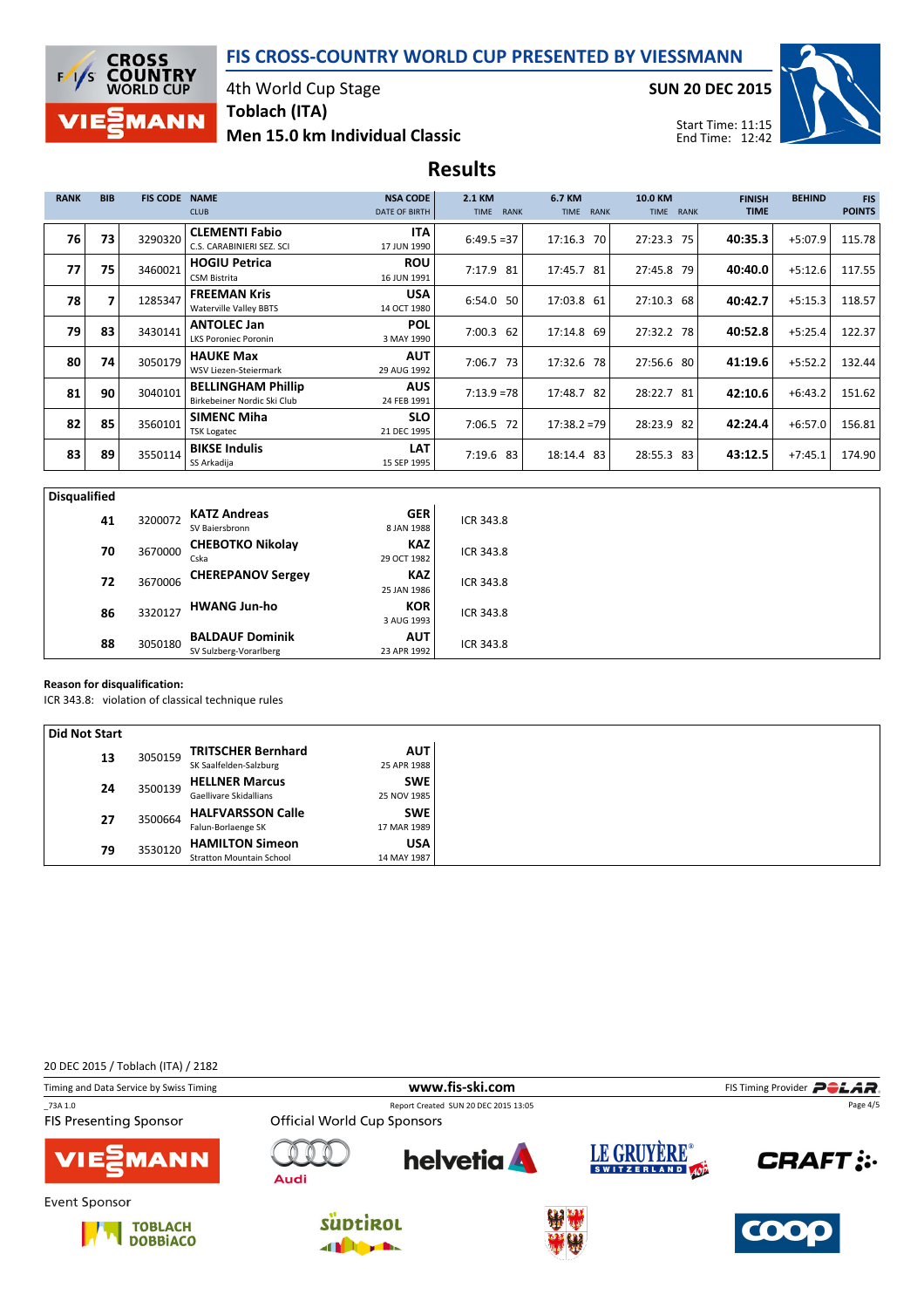

### 4th World Cup Stage Toblach (ITA)

# Men 15.0 km Individual Classic

SUN 20 DEC 2015



Start Time: 11:15 End Time: 12:42

# Results

| <b>RANK</b> | <b>BIB</b> | <b>FIS CODE</b> | <b>NSA CODE</b><br><b>NAME</b><br><b>CLUB</b><br>DATE OF BIRTH           | 2.1 KM<br>TIME RANK       | 6.7 KM<br>TIME RANK  | 10.0 KM<br>TIME RANK | <b>FINISH</b><br><b>TIME</b> | <b>BEHIND</b> | <b>FIS</b><br><b>POINTS</b> |
|-------------|------------|-----------------|--------------------------------------------------------------------------|---------------------------|----------------------|----------------------|------------------------------|---------------|-----------------------------|
| 76          | 73         | 3290320         | <b>CLEMENTI Fabio</b><br>C.S. CARABINIERI SEZ. SCI<br>17 JUN 1990        | <b>ITA</b><br>$6:49.5=37$ | 17:16.3<br><b>70</b> | 27:23.3 75           | 40:35.3                      | $+5:07.9$     | 115.78                      |
| 77          | 75         | 3460021         | <b>ROU</b><br><b>HOGIU Petrica</b><br><b>CSM Bistrita</b><br>16 JUN 1991 | 7:17.9 81                 | 17:45.7 81           | 27:45.8 79           | 40:40.0                      | $+5:12.6$     | 117.55                      |
| 78          | 7          | 1285347         | <b>FREEMAN Kris</b><br><b>Waterville Valley BBTS</b><br>14 OCT 1980      | <b>USA</b><br>6:54.0 50   | 17:03.8 61           | 27:10.3<br>68        | 40:42.7                      | $+5:15.3$     | 118.57                      |
| 79          | 83         | 3430141         | <b>ANTOLEC Jan</b><br>3 MAY 1990<br><b>LKS Poroniec Poronin</b>          | <b>POL</b><br>7:00.3 62   | 17:14.8 69           | 27:32.2 78           | 40:52.8                      | $+5:25.4$     | 122.37                      |
| 80          | 74         | 3050179         | <b>HAUKE Max</b><br>29 AUG 1992<br><b>WSV Liezen-Steiermark</b>          | <b>AUT</b><br>$7:06.7$ 73 | 17:32.6 78           | 27:56.6 80           | 41:19.6                      | $+5:52.2$     | 132.44                      |
| 81          | 90         | 3040101         | <b>BELLINGHAM Phillip</b><br>Birkebeiner Nordic Ski Club<br>24 FEB 1991  | <b>AUS</b><br>$7:13.9=78$ | 17:48.7 82           | 28:22.7<br>-81       | 42:10.6                      | $+6:43.2$     | 151.62                      |
| 82          | 85         | 3560101         | <b>SIMENC Miha</b><br>21 DEC 1995<br><b>TSK Logatec</b>                  | <b>SLO</b><br>7:06.5 72   | $17:38.2 = 79$       | 28:23.9 82           | 42:24.4                      | $+6:57.0$     | 156.81                      |
| 83          | 89         | 3550114         | <b>BIKSE Indulis</b><br>SS Arkadija<br>15 SEP 1995                       | <b>LAT</b><br>7:19.6 83   | 18:14.4 83           | 28:55.3 83           | 43:12.5                      | $+7:45.1$     | 174.90                      |

| <b>Disqualified</b> |         |                                                  |                           |           |  |
|---------------------|---------|--------------------------------------------------|---------------------------|-----------|--|
| 41                  | 3200072 | <b>KATZ Andreas</b><br>SV Baiersbronn            | <b>GER</b><br>8 JAN 1988  | ICR 343.8 |  |
| 70                  | 3670000 | <b>CHEBOTKO Nikolay</b><br>Cska                  | <b>KAZ</b><br>29 OCT 1982 | ICR 343.8 |  |
| 72                  | 3670006 | <b>CHEREPANOV Sergey</b>                         | <b>KAZ</b><br>25 JAN 1986 | ICR 343.8 |  |
| 86                  | 3320127 | <b>HWANG Jun-ho</b>                              | <b>KOR</b><br>3 AUG 1993  | ICR 343.8 |  |
| 88                  | 3050180 | <b>BALDAUF Dominik</b><br>SV Sulzberg-Vorarlberg | <b>AUT</b><br>23 APR 1992 | ICR 343.8 |  |

#### Reason for disqualification:

ICR 343.8: violation of classical technique rules

| Did Not Start |         |                        |                                 |             |
|---------------|---------|------------------------|---------------------------------|-------------|
| 13            |         |                        | <b>TRITSCHER Bernhard</b>       | <b>AUT</b>  |
|               |         | 3050159                | SK Saalfelden-Salzburg          | 25 APR 1988 |
| 24            |         |                        | <b>HELLNER Marcus</b>           | <b>SWE</b>  |
|               | 3500139 | Gaellivare Skidallians | 25 NOV 1985                     |             |
|               | 27      |                        | <b>HALFVARSSON Calle</b>        | <b>SWE</b>  |
|               |         | 3500664                | Falun-Borlaenge SK              | 17 MAR 1989 |
|               | 79      | 3530120                | <b>HAMILTON Simeon</b>          | USA         |
|               |         |                        | <b>Stratton Mountain School</b> | 14 MAY 1987 |

20 DEC 2015 / Toblach (ITA) / 2182

| Timing and Data Service by Swiss Timing            |                                    | www.fis-ski.com                      |             | FIS Timing Provider <b>POLAR</b> . |
|----------------------------------------------------|------------------------------------|--------------------------------------|-------------|------------------------------------|
| 73A 1.0<br><b>FIS Presenting Sponsor</b>           | <b>Official World Cup Sponsors</b> | Report Created SUN 20 DEC 2015 13:05 |             | Page 4/5                           |
| <b>VIE EMANN</b>                                   | Audi                               | <b>helvetia</b>                      | LE GRUYERE® | <b>CRAFT:</b>                      |
| Event Sponsor<br><b>TOBLACH</b><br><b>DOBBIACO</b> | <b>SUDTIROL</b>                    |                                      |             | <b>COOO</b>                        |